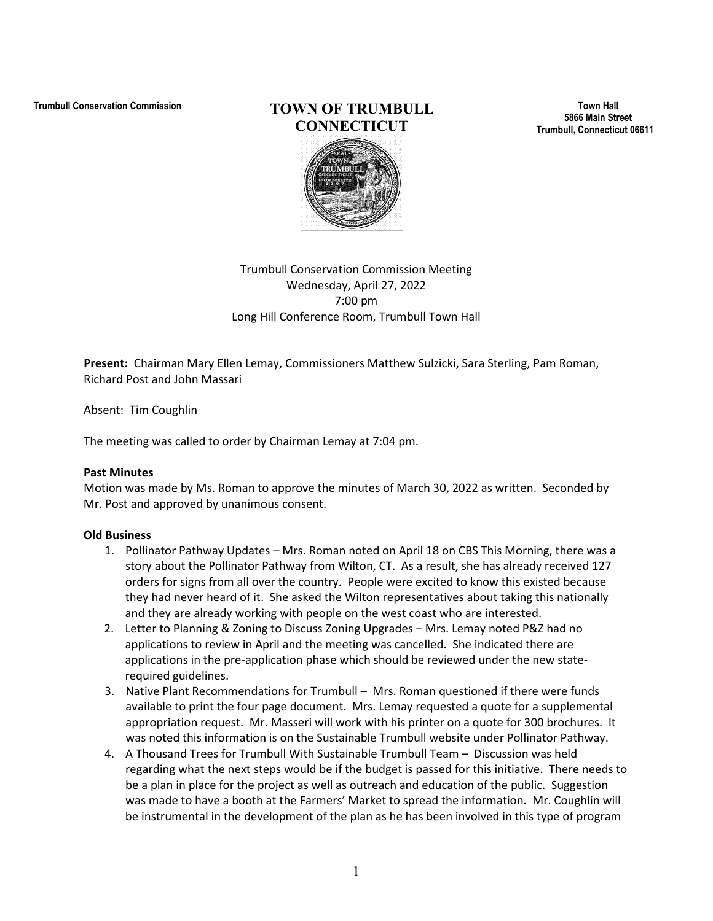# **Trumbull Conservation Commission TOWN OF TRUMBULL CONNECTICUT**

**Town Hall 5866 Main Street Trumbull, Connecticut 06611**

## Trumbull Conservation Commission Meeting Wednesday, April 27, 2022 7:00 pm Long Hill Conference Room, Trumbull Town Hall

**Present:** Chairman Mary Ellen Lemay, Commissioners Matthew Sulzicki, Sara Sterling, Pam Roman, Richard Post and John Massari

Absent: Tim Coughlin

The meeting was called to order by Chairman Lemay at 7:04 pm.

#### **Past Minutes**

Motion was made by Ms. Roman to approve the minutes of March 30, 2022 as written. Seconded by Mr. Post and approved by unanimous consent.

#### **Old Business**

- 1. Pollinator Pathway Updates Mrs. Roman noted on April 18 on CBS This Morning, there was a story about the Pollinator Pathway from Wilton, CT. As a result, she has already received 127 orders for signs from all over the country. People were excited to know this existed because they had never heard of it. She asked the Wilton representatives about taking this nationally and they are already working with people on the west coast who are interested.
- 2. Letter to Planning & Zoning to Discuss Zoning Upgrades Mrs. Lemay noted P&Z had no applications to review in April and the meeting was cancelled. She indicated there are applications in the pre-application phase which should be reviewed under the new staterequired guidelines.
- 3. Native Plant Recommendations for Trumbull Mrs. Roman questioned if there were funds available to print the four page document. Mrs. Lemay requested a quote for a supplemental appropriation request. Mr. Masseri will work with his printer on a quote for 300 brochures. It was noted this information is on the Sustainable Trumbull website under Pollinator Pathway.
- 4. A Thousand Trees for Trumbull With Sustainable Trumbull Team Discussion was held regarding what the next steps would be if the budget is passed for this initiative. There needs to be a plan in place for the project as well as outreach and education of the public. Suggestion was made to have a booth at the Farmers' Market to spread the information. Mr. Coughlin will be instrumental in the development of the plan as he has been involved in this type of program